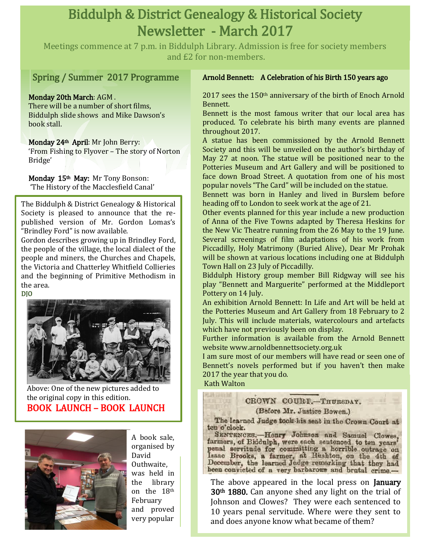# Biddulph & District Genealogy & Historical Society Newsletter - March 2017

Meetings commence at 7 p.m. in Biddulph Library. Admission is free for society members and £2 for non-members.

## Spring / Summer 2017 Programme

#### Monday 20th March: AGM .

There will be a number of short films, Biddulph slide shows and Mike Dawson's book stall.

#### Monday 24th April: Mr John Berry:

'From Fishing to Flyover – The story of Norton Bridge'

Monday 15th May: Mr Tony Bonson: 'The History of the Macclesfield Canal'

The Biddulph & District Genealogy & Historical Society is pleased to announce that the republished version of Mr. Gordon Lomas's "Brindley Ford" is now available.

Gordon describes growing up in Brindley Ford, the people of the village, the local dialect of the people and miners, the Churches and Chapels, the Victoria and Chatterley Whitfield Collieries and the beginning of Primitive Methodism in the area.



Above: One of the new pictures added to **Kath Walton** the original copy in this edition. BOOK LAUNCH – BOOK LAUNCH



A book sale, organised by David Outhwaite, was held in the library on the 18th February and proved very popular

#### Arnold Bennett: A Celebration of his Birth 150 years ago

2017 sees the 150th anniversary of the birth of Enoch Arnold Bennett.

Bennett is the most famous writer that our local area has produced. To celebrate his birth many events are planned throughout 2017.

A statue has been commissioned by the Arnold Bennett Society and this will be unveiled on the author's birthday of May 27 at noon. The statue will be positioned near to the Potteries Museum and Art Gallery and will be positioned to face down Broad Street. A quotation from one of his most popular novels "The Card" will be included on the statue.

Bennett was born in Hanley and lived in Burslem before heading off to London to seek work at the age of 21.

Other events planned for this year include a new production of Anna of the Five Towns adapted by Theresa Heskins for the New Vic Theatre running from the 26 May to the 19 June. Several screenings of film adaptations of his work from Piccadilly, Holy Matrimony (Buried Alive), Dear Mr Prohak will be shown at various locations including one at Biddulph Town Hall on 23 July of Piccadilly.

Biddulph History group member Bill Ridgway will see his play "Bennett and Marguerite" performed at the Middleport Pottery on 14 July.

An exhibition Arnold Bennett: In Life and Art will be held at the Potteries Museum and Art Gallery from 18 February to 2 July. This will include materials, watercolours and artefacts which have not previously been on display.

Further information is available from the Arnold Bennett website [www.arnoldbennettsociety.org.uk](http://www.arnoldbennettsociety.org.uk/)

I am sure most of our members will have read or seen one of Bennett's novels performed but if you haven't then make 2017 the year that you do.

### CROWN COURT.-THURSDAY.

(Before Mr. Justice Bowen.)

The learned Judge took his seat in the Crown Court at ten o'clock.

SENTENCES.-Henry Johnson and Samuel Clowes, farmers, of Biddulph, were each sentenced to ten years penal servitude for committing a horrible outrage on Isaac Brooks, a farmer, at Bushton, on the 4th of December, the learned Judge remarking that they had been convicted of a very barbarous and brutal crime-

The above appeared in the local press on **January** 30th 1880. Can anyone shed any light on the trial of Johnson and Clowes? They were each sentenced to 10 years penal servitude. Where were they sent to and does anyone know what became of them?